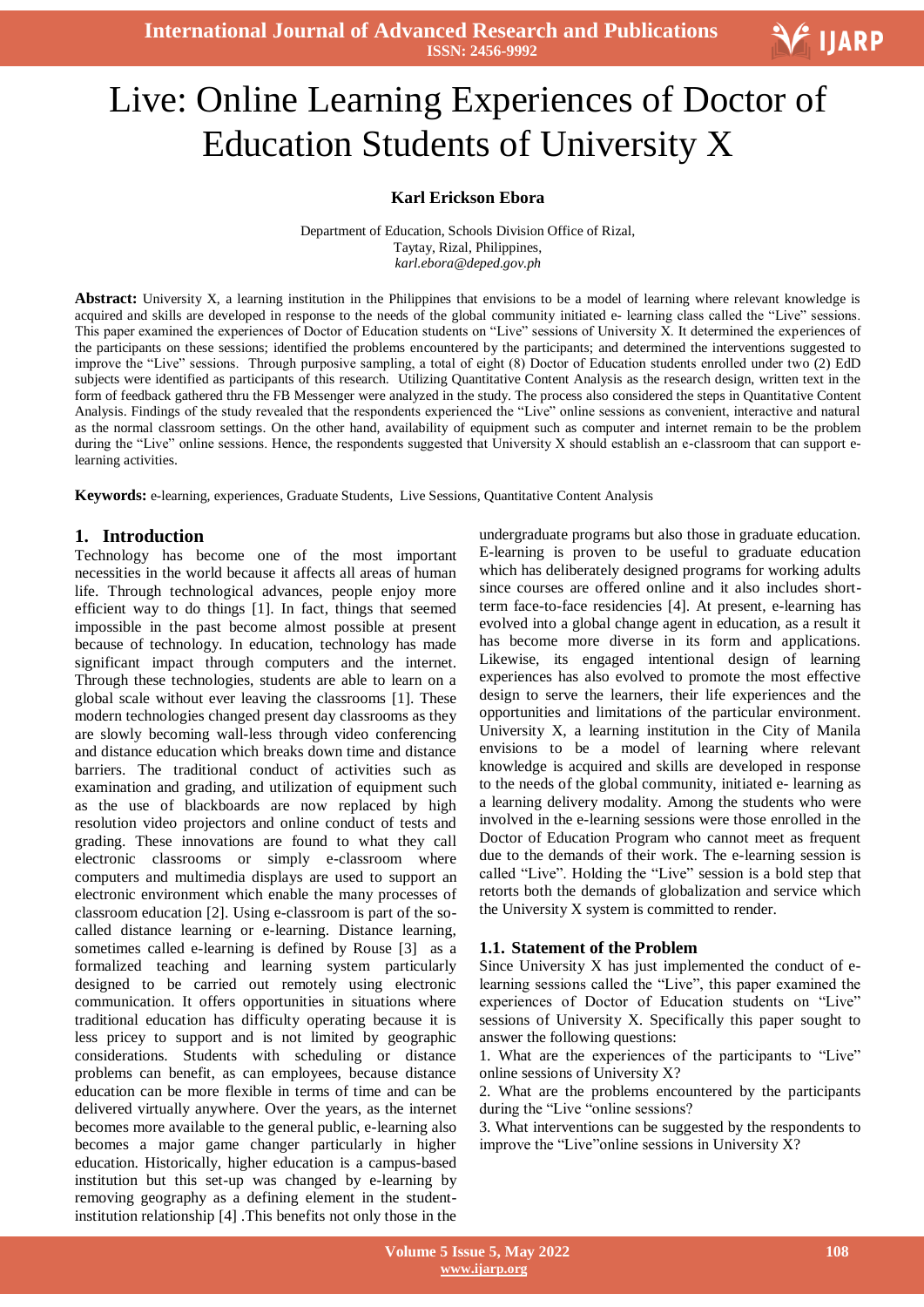**International Journal of Advanced Research and Publications ISSN: 2456-9992**

# Ξ Live: Online Learning Experiences of Doctor of Education Students of University X

#### **Karl Erickson Ebora**

Department of Education, Schools Division Office of Rizal, Taytay, Rizal, Philippines, *karl.ebora@deped.gov.ph*

**Abstract:** University X, a learning institution in the Philippines that envisions to be a model of learning where relevant knowledge is acquired and skills are developed in response to the needs of the global community initiated e- learning class called the "Live" sessions. This paper examined the experiences of Doctor of Education students on "Live" sessions of University X. It determined the experiences of the participants on these sessions; identified the problems encountered by the participants; and determined the interventions suggested to improve the "Live" sessions. Through purposive sampling, a total of eight (8) Doctor of Education students enrolled under two (2) EdD subjects were identified as participants of this research. Utilizing Quantitative Content Analysis as the research design, written text in the form of feedback gathered thru the FB Messenger were analyzed in the study. The process also considered the steps in Quantitative Content Analysis. Findings of the study revealed that the respondents experienced the "Live" online sessions as convenient, interactive and natural as the normal classroom settings. On the other hand, availability of equipment such as computer and internet remain to be the problem during the "Live" online sessions. Hence, the respondents suggested that University X should establish an e-classroom that can support elearning activities.

**Keywords:** e-learning, experiences, Graduate Students, Live Sessions, Quantitative Content Analysis

#### **1. Introduction**

Technology has become one of the most important necessities in the world because it affects all areas of human life. Through technological advances, people enjoy more efficient way to do things [1]. In fact, things that seemed impossible in the past become almost possible at present because of technology. In education, technology has made significant impact through computers and the internet. Through these technologies, students are able to learn on a global scale without ever leaving the classrooms [1]. These modern technologies changed present day classrooms as they are slowly becoming wall-less through video conferencing and distance education which breaks down time and distance barriers. The traditional conduct of activities such as examination and grading, and utilization of equipment such as the use of blackboards are now replaced by high resolution video projectors and online conduct of tests and grading. These innovations are found to what they call electronic classrooms or simply e-classroom where computers and multimedia displays are used to support an electronic environment which enable the many processes of classroom education [2]. Using e-classroom is part of the socalled distance learning or e-learning. Distance learning, sometimes called e-learning is defined by Rouse [3] as a formalized teaching and learning system particularly designed to be carried out remotely using electronic communication. It offers opportunities in situations where traditional education has difficulty operating because it is less pricey to support and is not limited by geographic considerations. Students with scheduling or distance problems can benefit, as can employees, because distance education can be more flexible in terms of time and can be delivered virtually anywhere. Over the years, as the internet becomes more available to the general public, e-learning also becomes a major game changer particularly in higher education. Historically, higher education is a campus-based institution but this set-up was changed by e-learning by removing geography as a defining element in the studentinstitution relationship [4] .This benefits not only those in the

undergraduate programs but also those in graduate education. E-learning is proven to be useful to graduate education which has deliberately designed programs for working adults since courses are offered online and it also includes shortterm face-to-face residencies [4]. At present, e-learning has evolved into a global change agent in education, as a result it has become more diverse in its form and applications. Likewise, its engaged intentional design of learning experiences has also evolved to promote the most effective design to serve the learners, their life experiences and the opportunities and limitations of the particular environment. University X, a learning institution in the City of Manila envisions to be a model of learning where relevant knowledge is acquired and skills are developed in response to the needs of the global community, initiated e- learning as a learning delivery modality. Among the students who were involved in the e-learning sessions were those enrolled in the Doctor of Education Program who cannot meet as frequent due to the demands of their work. The e-learning session is called "Live". Holding the "Live" session is a bold step that retorts both the demands of globalization and service which the University X system is committed to render.

#### **1.1. Statement of the Problem**

Since University X has just implemented the conduct of elearning sessions called the "Live", this paper examined the experiences of Doctor of Education students on "Live" sessions of University X. Specifically this paper sought to answer the following questions:

1. What are the experiences of the participants to "Live" online sessions of University X?

2. What are the problems encountered by the participants during the "Live "online sessions?

3. What interventions can be suggested by the respondents to improve the "Live" online sessions in University  $X$ ?

**V** IJARP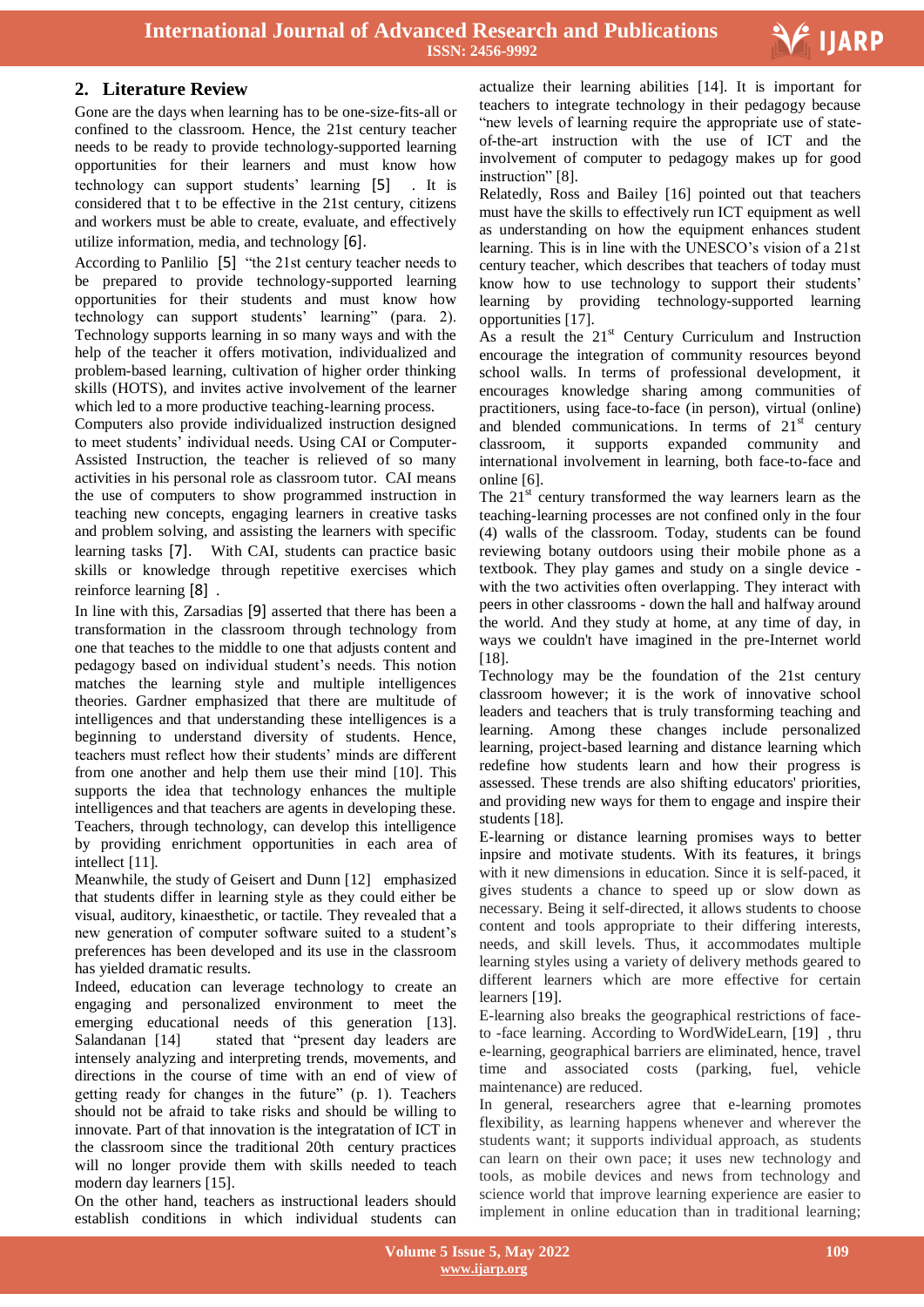

# **2. Literature Review**

Gone are the days when learning has to be one-size-fits-all or confined to the classroom. Hence, the 21st century teacher needs to be ready to provide technology-supported learning opportunities for their learners and must know how technology can support students' learning [5] . It is considered that t to be effective in the 21st century, citizens and workers must be able to create, evaluate, and effectively utilize information, media, and technology [6].

According to Panlilio [5] "the 21st century teacher needs to be prepared to provide technology-supported learning opportunities for their students and must know how technology can support students' learning" (para. 2). Technology supports learning in so many ways and with the help of the teacher it offers motivation, individualized and problem-based learning, cultivation of higher order thinking skills (HOTS), and invites active involvement of the learner which led to a more productive teaching-learning process.

Computers also provide individualized instruction designed to meet students' individual needs. Using CAI or Computer-Assisted Instruction, the teacher is relieved of so many activities in his personal role as classroom tutor. CAI means the use of computers to show programmed instruction in teaching new concepts, engaging learners in creative tasks and problem solving, and assisting the learners with specific learning tasks [7]. With CAI, students can practice basic skills or knowledge through repetitive exercises which reinforce learning [8] .

In line with this, Zarsadias [9] asserted that there has been a transformation in the classroom through technology from one that teaches to the middle to one that adjusts content and pedagogy based on individual student's needs. This notion matches the learning style and multiple intelligences theories. Gardner emphasized that there are multitude of intelligences and that understanding these intelligences is a beginning to understand diversity of students. Hence, teachers must reflect how their students' minds are different from one another and help them use their mind [10]. This supports the idea that technology enhances the multiple intelligences and that teachers are agents in developing these. Teachers, through technology, can develop this intelligence by providing enrichment opportunities in each area of intellect [11].

Meanwhile, the study of Geisert and Dunn [12] emphasized that students differ in learning style as they could either be visual, auditory, kinaesthetic, or tactile. They revealed that a new generation of computer software suited to a student's preferences has been developed and its use in the classroom has yielded dramatic results.

Indeed, education can leverage technology to create an engaging and personalized environment to meet the emerging educational needs of this generation [13]. Salandanan [14] stated that "present day leaders are intensely analyzing and interpreting trends, movements, and directions in the course of time with an end of view of getting ready for changes in the future" (p. 1). Teachers should not be afraid to take risks and should be willing to innovate. Part of that innovation is the integratation of ICT in the classroom since the traditional 20th century practices will no longer provide them with skills needed to teach modern day learners [15].

On the other hand, teachers as instructional leaders should establish conditions in which individual students can

 actualize their learning abilities [14]. It is important for teachers to integrate technology in their pedagogy because "new levels of learning require the appropriate use of stateof-the-art instruction with the use of ICT and the involvement of computer to pedagogy makes up for good instruction" [8].

Relatedly, Ross and Bailey [16] pointed out that teachers must have the skills to effectively run ICT equipment as well as understanding on how the equipment enhances student learning. This is in line with the UNESCO's vision of a 21st century teacher, which describes that teachers of today must know how to use technology to support their students' learning by providing technology-supported learning opportunities [17].

As a result the  $21<sup>st</sup>$  Century Curriculum and Instruction encourage the integration of community resources beyond school walls. In terms of professional development, it encourages knowledge sharing among communities of practitioners, using face-to-face (in person), virtual (online) and blended communications. In terms of  $21<sup>st</sup>$  century classroom, it supports expanded community and international involvement in learning, both face-to-face and online [6].

The  $21<sup>st</sup>$  century transformed the way learners learn as the teaching-learning processes are not confined only in the four (4) walls of the classroom. Today, students can be found reviewing botany outdoors using their mobile phone as a textbook. They play games and study on a single device with the two activities often overlapping. They interact with peers in other classrooms - down the hall and halfway around the world. And they study at home, at any time of day, in ways we couldn't have imagined in the pre-Internet world [18].

Technology may be the foundation of the 21st century classroom however; it is the work of innovative school leaders and teachers that is truly transforming teaching and learning. Among these changes include personalized learning, project-based learning and distance learning which redefine how students learn and how their progress is assessed. These trends are also shifting educators' priorities, and providing new ways for them to engage and inspire their students [18].

E-learning or distance learning promises ways to better inpsire and motivate students. With its features, it brings with it new dimensions in education. Since it is self-paced, it gives students a chance to speed up or slow down as necessary. Being it self-directed, it allows students to choose content and tools appropriate to their differing interests, needs, and skill levels. Thus, it accommodates multiple learning styles using a variety of delivery methods geared to different learners which are more effective for certain learners [19].

E-learning also breaks the geographical restrictions of faceto -face learning. According to WordWideLearn, [19] , thru e-learning, geographical barriers are eliminated, hence, travel time and associated costs (parking, fuel, vehicle maintenance) are reduced.

In general, researchers agree that e-learning promotes flexibility, as learning happens whenever and wherever the students want; it supports individual approach, as students can learn on their own pace; it uses new technology and tools, as mobile devices and news from technology and science world that improve learning experience are easier to implement in online education than in traditional learning;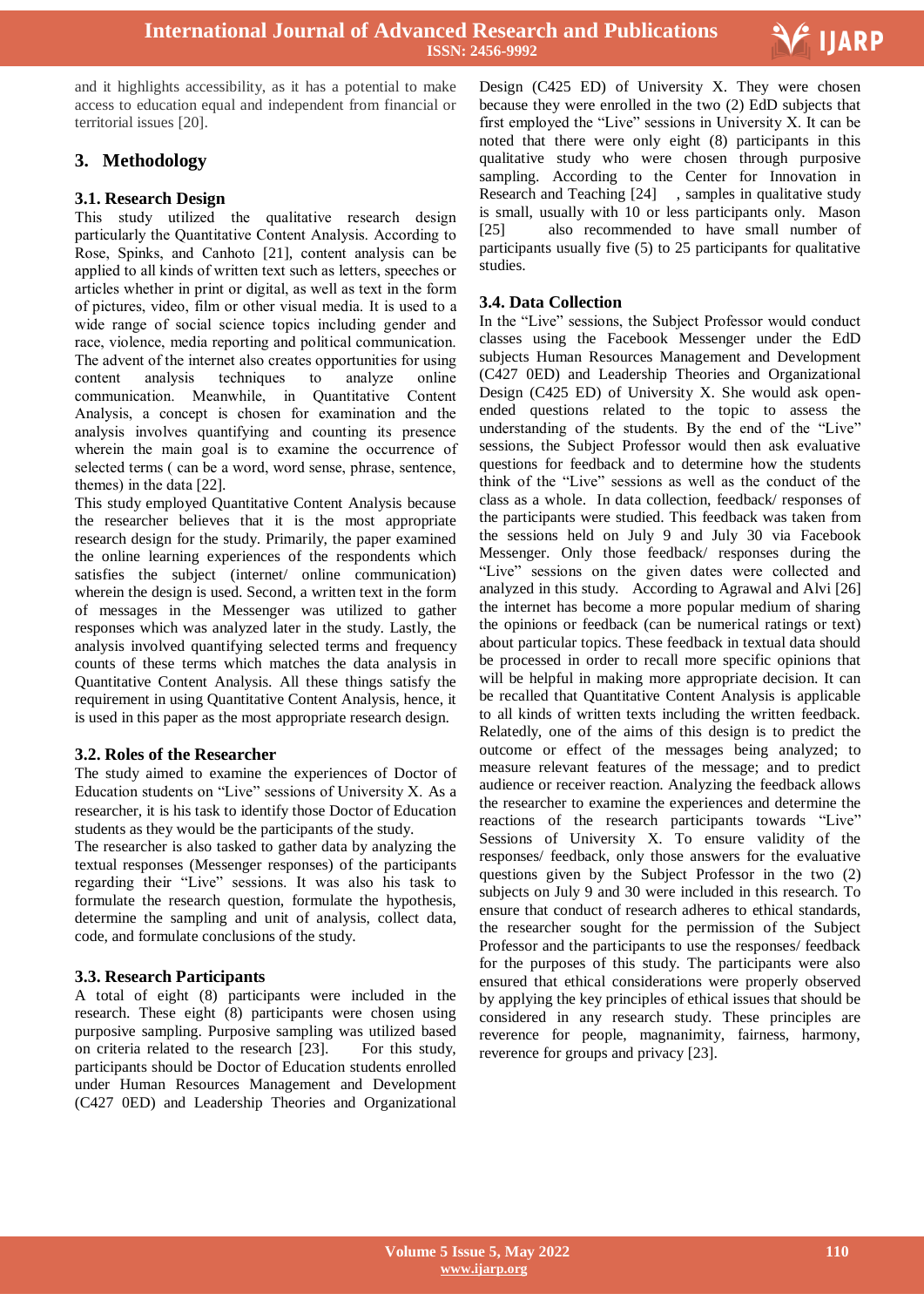

and it highlights accessibility, as it has a potential to make access to education equal and independent from financial or territorial issues [20].

# **3. Methodology**

## **3.1. Research Design**

This study utilized the qualitative research design particularly the Quantitative Content Analysis. According to Rose, Spinks, and Canhoto [21], content analysis can be applied to all kinds of written text such as letters, speeches or articles whether in print or digital, as well as text in the form of pictures, video, film or other visual media. It is used to a wide range of social science topics including gender and race, violence, media reporting and political communication. The advent of the internet also creates opportunities for using content analysis techniques to analyze online communication. Meanwhile, in Quantitative Content Analysis, a concept is chosen for examination and the analysis involves quantifying and counting its presence wherein the main goal is to examine the occurrence of selected terms ( can be a word, word sense, phrase, sentence, themes) in the data [22].

This study employed Quantitative Content Analysis because the researcher believes that it is the most appropriate research design for the study. Primarily, the paper examined the online learning experiences of the respondents which satisfies the subject (internet/ online communication) wherein the design is used. Second, a written text in the form of messages in the Messenger was utilized to gather responses which was analyzed later in the study. Lastly, the analysis involved quantifying selected terms and frequency counts of these terms which matches the data analysis in Quantitative Content Analysis. All these things satisfy the requirement in using Quantitative Content Analysis, hence, it is used in this paper as the most appropriate research design.

#### **3.2. Roles of the Researcher**

The study aimed to examine the experiences of Doctor of Education students on "Live" sessions of University X. As a researcher, it is his task to identify those Doctor of Education students as they would be the participants of the study.

The researcher is also tasked to gather data by analyzing the textual responses (Messenger responses) of the participants regarding their "Live" sessions. It was also his task to formulate the research question, formulate the hypothesis, determine the sampling and unit of analysis, collect data, code, and formulate conclusions of the study.

#### **3.3. Research Participants**

A total of eight (8) participants were included in the research. These eight (8) participants were chosen using purposive sampling. Purposive sampling was utilized based on criteria related to the research [23]. For this study, participants should be Doctor of Education students enrolled under Human Resources Management and Development (C427 0ED) and Leadership Theories and Organizational

 Design (C425 ED) of University X. They were chosen because they were enrolled in the two (2) EdD subjects that first employed the "Live" sessions in University  $X$ . It can be noted that there were only eight (8) participants in this qualitative study who were chosen through purposive sampling. According to the Center for Innovation in Research and Teaching [24] , samples in qualitative study is small, usually with 10 or less participants only. Mason [25] also recommended to have small number of participants usually five (5) to 25 participants for qualitative studies.

#### **3.4. Data Collection**

In the "Live" sessions, the Subject Professor would conduct classes using the Facebook Messenger under the EdD subjects Human Resources Management and Development (C427 0ED) and Leadership Theories and Organizational Design (C425 ED) of University X. She would ask openended questions related to the topic to assess the understanding of the students. By the end of the "Live" sessions, the Subject Professor would then ask evaluative questions for feedback and to determine how the students think of the "Live" sessions as well as the conduct of the class as a whole. In data collection, feedback/ responses of the participants were studied. This feedback was taken from the sessions held on July 9 and July 30 via Facebook Messenger. Only those feedback/ responses during the "Live" sessions on the given dates were collected and analyzed in this study. According to Agrawal and Alvi [26] the internet has become a more popular medium of sharing the opinions or feedback (can be numerical ratings or text) about particular topics. These feedback in textual data should be processed in order to recall more specific opinions that will be helpful in making more appropriate decision. It can be recalled that Quantitative Content Analysis is applicable to all kinds of written texts including the written feedback. Relatedly, one of the aims of this design is to predict the outcome or effect of the messages being analyzed; to measure relevant features of the message; and to predict audience or receiver reaction. Analyzing the feedback allows the researcher to examine the experiences and determine the reactions of the research participants towards "Live" Sessions of University X. To ensure validity of the responses/ feedback, only those answers for the evaluative questions given by the Subject Professor in the two (2) subjects on July 9 and 30 were included in this research. To ensure that conduct of research adheres to ethical standards, the researcher sought for the permission of the Subject Professor and the participants to use the responses/ feedback for the purposes of this study. The participants were also ensured that ethical considerations were properly observed by applying the key principles of ethical issues that should be considered in any research study. These principles are reverence for people, magnanimity, fairness, harmony, reverence for groups and privacy [23].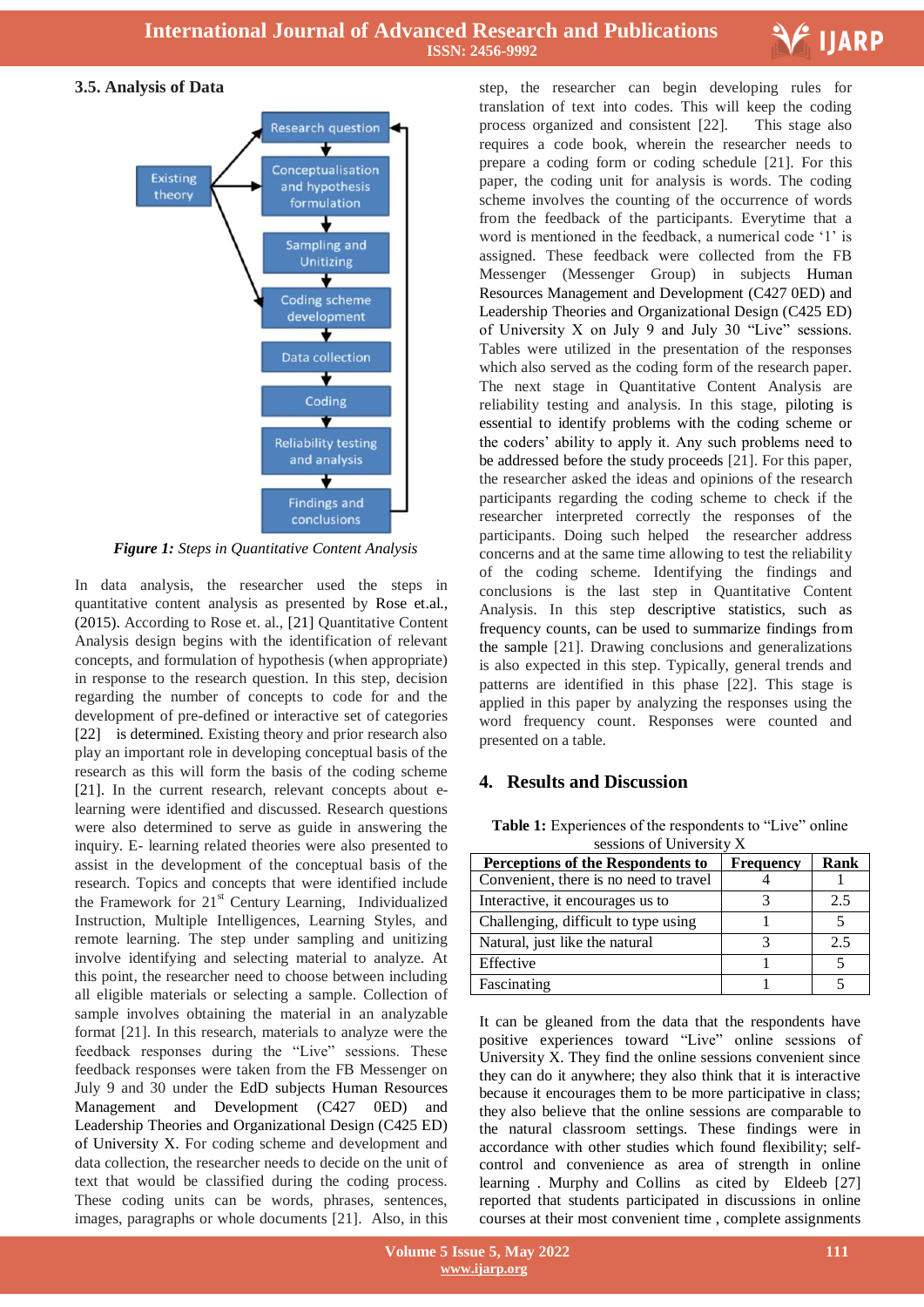

# **3.5. Analysis of Data**



*Figure 1: Steps in Quantitative Content Analysis*

In data analysis, the researcher used the steps in quantitative content analysis as presented by Rose et.al., (2015). According to Rose et. al., [21] Quantitative Content Analysis design begins with the identification of relevant concepts, and formulation of hypothesis (when appropriate) in response to the research question. In this step, decision regarding the number of concepts to code for and the development of pre-defined or interactive set of categories [22] is determined. Existing theory and prior research also play an important role in developing conceptual basis of the research as this will form the basis of the coding scheme [21]. In the current research, relevant concepts about elearning were identified and discussed. Research questions were also determined to serve as guide in answering the inquiry. E- learning related theories were also presented to assist in the development of the conceptual basis of the research. Topics and concepts that were identified include the Framework for  $21<sup>st</sup>$  Century Learning, Individualized Instruction, Multiple Intelligences, Learning Styles, and remote learning. The step under sampling and unitizing involve identifying and selecting material to analyze. At this point, the researcher need to choose between including all eligible materials or selecting a sample. Collection of sample involves obtaining the material in an analyzable format [21]. In this research, materials to analyze were the feedback responses during the "Live" sessions. These feedback responses were taken from the FB Messenger on July 9 and 30 under the EdD subjects Human Resources Management and Development (C427 0ED) and Leadership Theories and Organizational Design (C425 ED) of University X. For coding scheme and development and data collection, the researcher needs to decide on the unit of text that would be classified during the coding process. These coding units can be words, phrases, sentences, images, paragraphs or whole documents [21]. Also, in this

 step, the researcher can begin developing rules for translation of text into codes. This will keep the coding process organized and consistent [22]. This stage also requires a code book, wherein the researcher needs to prepare a coding form or coding schedule [21]. For this paper, the coding unit for analysis is words. The coding scheme involves the counting of the occurrence of words from the feedback of the participants. Everytime that a word is mentioned in the feedback, a numerical code '1' is assigned. These feedback were collected from the FB Messenger (Messenger Group) in subjects Human Resources Management and Development (C427 0ED) and Leadership Theories and Organizational Design (C425 ED) of University X on July 9 and July 30 "Live" sessions. Tables were utilized in the presentation of the responses which also served as the coding form of the research paper. The next stage in Quantitative Content Analysis are reliability testing and analysis. In this stage, piloting is essential to identify problems with the coding scheme or the coders' ability to apply it. Any such problems need to be addressed before the study proceeds [21]. For this paper, the researcher asked the ideas and opinions of the research participants regarding the coding scheme to check if the researcher interpreted correctly the responses of the participants. Doing such helped the researcher address concerns and at the same time allowing to test the reliability of the coding scheme. Identifying the findings and conclusions is the last step in Quantitative Content Analysis. In this step descriptive statistics, such as frequency counts, can be used to summarize findings from the sample [21]. Drawing conclusions and generalizations is also expected in this step. Typically, general trends and patterns are identified in this phase [22]. This stage is applied in this paper by analyzing the responses using the word frequency count. Responses were counted and presented on a table.

# **4. Results and Discussion**

**Table 1:** Experiences of the respondents to "Live" online sessions of University X

| Perceptions of the Respondents to      | <b>Frequency</b> | Rank |  |  |
|----------------------------------------|------------------|------|--|--|
| Convenient, there is no need to travel |                  |      |  |  |
| Interactive, it encourages us to       |                  | 2.5  |  |  |
| Challenging, difficult to type using   |                  |      |  |  |
| Natural, just like the natural         |                  | 2.5  |  |  |
| Effective                              |                  |      |  |  |
| Fascinating                            |                  |      |  |  |

It can be gleaned from the data that the respondents have positive experiences toward "Live" online sessions of University X. They find the online sessions convenient since they can do it anywhere; they also think that it is interactive because it encourages them to be more participative in class; they also believe that the online sessions are comparable to the natural classroom settings. These findings were in accordance with other studies which found flexibility; selfcontrol and convenience as area of strength in online learning . Murphy and Collins as cited by Eldeeb [27] reported that students participated in discussions in online courses at their most convenient time , complete assignments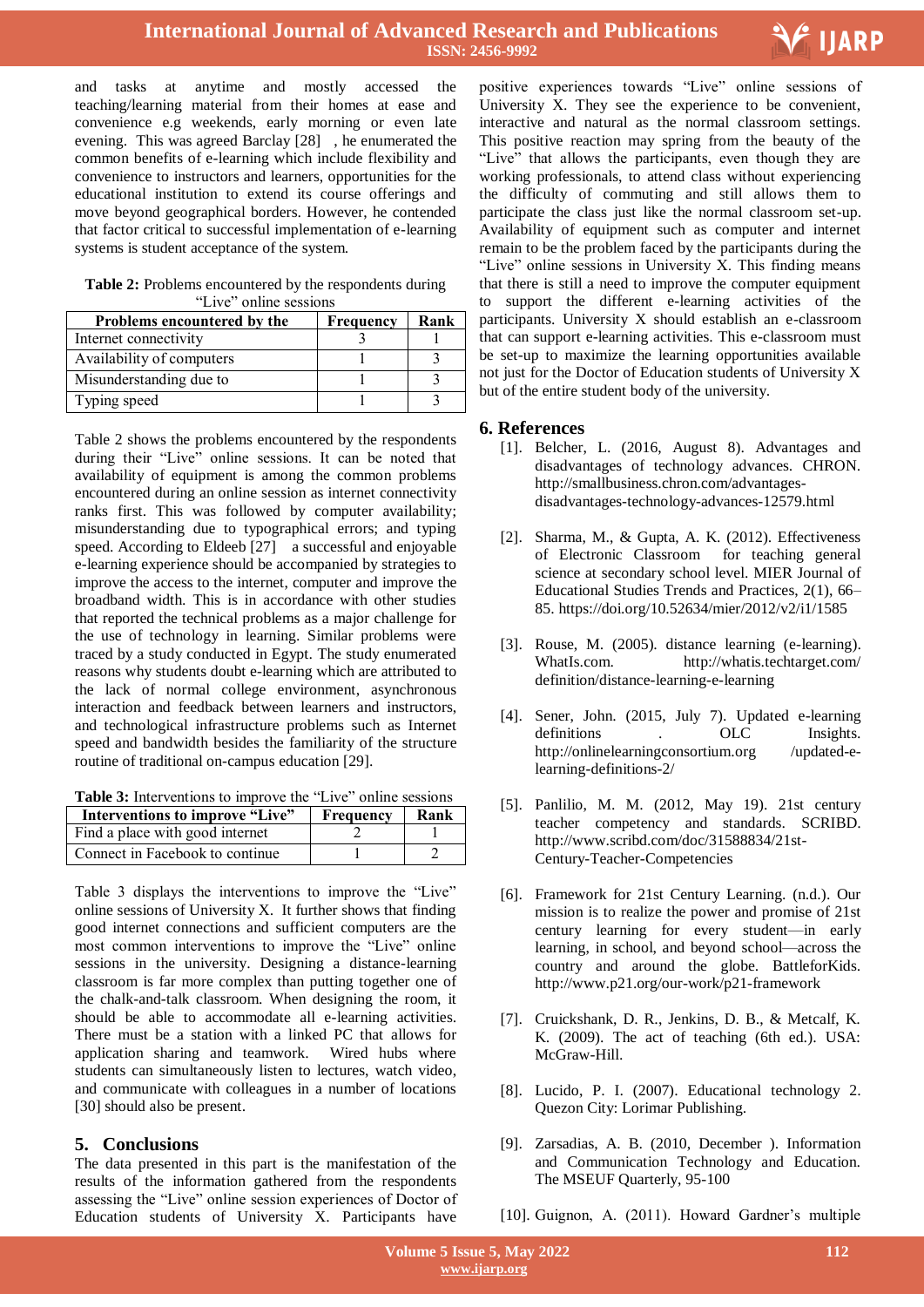

and tasks at anytime and mostly accessed the teaching/learning material from their homes at ease and convenience e.g weekends, early morning or even late evening. This was agreed Barclay [28] , he enumerated the common benefits of e-learning which include flexibility and convenience to instructors and learners, opportunities for the educational institution to extend its course offerings and move beyond geographical borders. However, he contended that factor critical to successful implementation of e-learning systems is student acceptance of the system.

**Table 2:** Problems encountered by the respondents during "Live" online sessions

| Problems encountered by the | <b>Frequency</b> | Rank |
|-----------------------------|------------------|------|
| Internet connectivity       |                  |      |
| Availability of computers   |                  |      |
| Misunderstanding due to     |                  |      |
| Typing speed                |                  |      |

Table 2 shows the problems encountered by the respondents during their "Live" online sessions. It can be noted that availability of equipment is among the common problems encountered during an online session as internet connectivity ranks first. This was followed by computer availability; misunderstanding due to typographical errors; and typing speed. According to Eldeeb [27] a successful and enjoyable e-learning experience should be accompanied by strategies to improve the access to the internet, computer and improve the broadband width. This is in accordance with other studies that reported the technical problems as a major challenge for the use of technology in learning. Similar problems were traced by a study conducted in Egypt. The study enumerated reasons why students doubt e-learning which are attributed to the lack of normal college environment, asynchronous interaction and feedback between learners and instructors, and technological infrastructure problems such as Internet speed and bandwidth besides the familiarity of the structure routine of traditional on-campus education [29].

**Table 3:** Interventions to improve the "Live" online sessions

| Interventions to improve "Live" | Frequency | Rank |
|---------------------------------|-----------|------|
| Find a place with good internet |           |      |
| Connect in Facebook to continue |           |      |

Table 3 displays the interventions to improve the "Live" online sessions of University X. It further shows that finding good internet connections and sufficient computers are the most common interventions to improve the "Live" online sessions in the university. Designing a distance-learning classroom is far more complex than putting together one of the chalk-and-talk classroom. When designing the room, it should be able to accommodate all e-learning activities. There must be a station with a linked PC that allows for application sharing and teamwork. Wired hubs where students can simultaneously listen to lectures, watch video, and communicate with colleagues in a number of locations [30] should also be present.

# **5. Conclusions**

The data presented in this part is the manifestation of the results of the information gathered from the respondents assessing the "Live" online session experiences of Doctor of Education students of University X. Participants have

positive experiences towards "Live" online sessions of University X. They see the experience to be convenient, interactive and natural as the normal classroom settings. This positive reaction may spring from the beauty of the "Live" that allows the participants, even though they are working professionals, to attend class without experiencing the difficulty of commuting and still allows them to participate the class just like the normal classroom set-up. Availability of equipment such as computer and internet remain to be the problem faced by the participants during the "Live" online sessions in University X. This finding means that there is still a need to improve the computer equipment to support the different e-learning activities of the participants. University X should establish an e-classroom that can support e-learning activities. This e-classroom must be set-up to maximize the learning opportunities available not just for the Doctor of Education students of University X but of the entire student body of the university.

#### **6. References**

- [1]. Belcher, L. (2016, August 8). Advantages and disadvantages of technology advances. CHRON. http://smallbusiness.chron.com/advantagesdisadvantages-technology-advances-12579.html
- [2]. Sharma, M., & Gupta, A. K. (2012). Effectiveness of Electronic Classroom for teaching general science at secondary school level. MIER Journal of Educational Studies Trends and Practices, 2(1), 66– 85. https://doi.org/10.52634/mier/2012/v2/i1/1585
- [3]. Rouse, M. (2005). distance learning (e-learning). WhatIs.com. http://whatis.techtarget.com/ definition/distance-learning-e-learning
- [4]. Sener, John. (2015, July 7). Updated e-learning definitions . OLC Insights. http://onlinelearningconsortium.org /updated-elearning-definitions-2/
- [5]. Panlilio, M. M. (2012, May 19). 21st century teacher competency and standards. SCRIBD. http://www.scribd.com/doc/31588834/21st-Century-Teacher-Competencies
- [6]. Framework for 21st Century Learning. (n.d.). Our mission is to realize the power and promise of 21st century learning for every student—in early learning, in school, and beyond school—across the country and around the globe. BattleforKids. http://www.p21.org/our-work/p21-framework
- [7]. Cruickshank, D. R., Jenkins, D. B., & Metcalf, K. K. (2009). The act of teaching (6th ed.). USA: McGraw-Hill.
- [8]. Lucido, P. I. (2007). Educational technology 2. Quezon City: Lorimar Publishing.
- [9]. Zarsadias, A. B. (2010, December ). Information and Communication Technology and Education. The MSEUF Quarterly, 95-100

[10]. Guignon, A. (2011). Howard Gardner's multiple